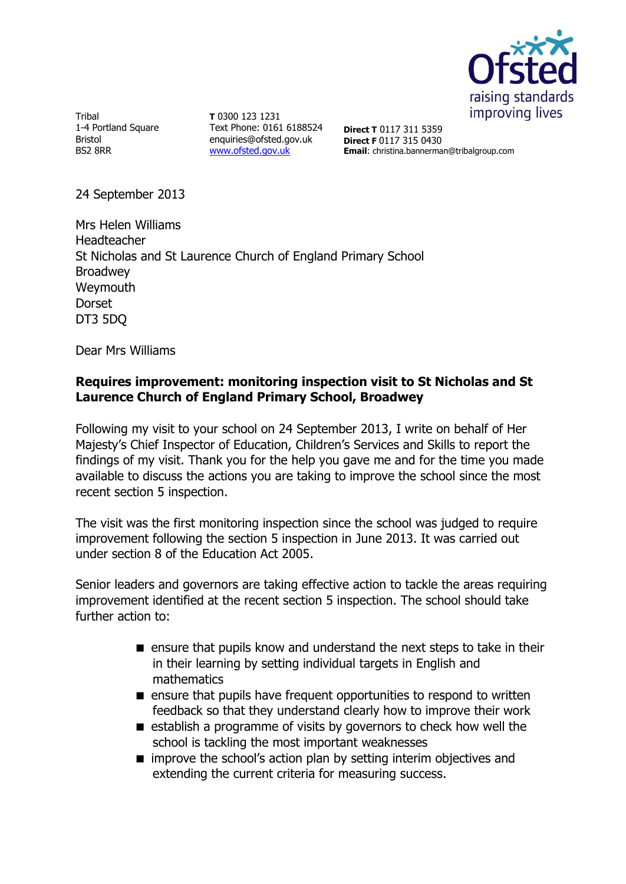

Tribal 1-4 Portland Square Bristol BS2 8RR

**T** 0300 123 1231 Text Phone: 0161 6188524 enquiries@ofsted.gov.uk [www.ofsted.gov.uk](http://www.ofsted.gov.uk/)

**Direct T** 0117 311 5359 **Direct F** 0117 315 0430 **Email**: christina.bannerman@tribalgroup.com

24 September 2013

Mrs Helen Williams Headteacher St Nicholas and St Laurence Church of England Primary School Broadwey Weymouth Dorset DT3 5DQ

Dear Mrs Williams

## **Requires improvement: monitoring inspection visit to St Nicholas and St Laurence Church of England Primary School, Broadwey**

Following my visit to your school on 24 September 2013, I write on behalf of Her Majesty's Chief Inspector of Education, Children's Services and Skills to report the findings of my visit. Thank you for the help you gave me and for the time you made available to discuss the actions you are taking to improve the school since the most recent section 5 inspection.

The visit was the first monitoring inspection since the school was judged to require improvement following the section 5 inspection in June 2013. It was carried out under section 8 of the Education Act 2005.

Senior leaders and governors are taking effective action to tackle the areas requiring improvement identified at the recent section 5 inspection. The school should take further action to:

- **E** ensure that pupils know and understand the next steps to take in their in their learning by setting individual targets in English and mathematics
- $\blacksquare$  ensure that pupils have frequent opportunities to respond to written feedback so that they understand clearly how to improve their work
- $\blacksquare$  establish a programme of visits by governors to check how well the school is tackling the most important weaknesses
- $\blacksquare$  improve the school's action plan by setting interim objectives and extending the current criteria for measuring success.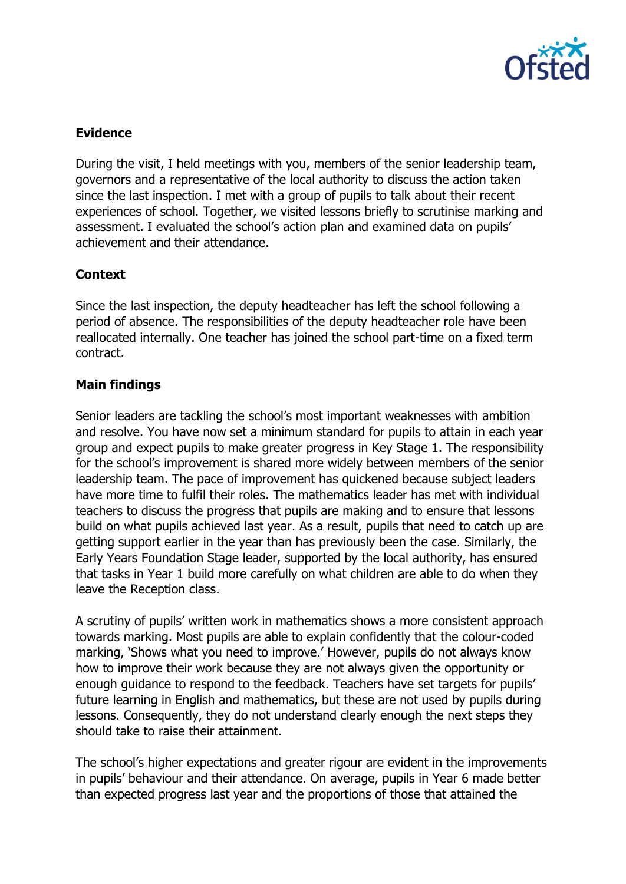

# **Evidence**

During the visit, I held meetings with you, members of the senior leadership team, governors and a representative of the local authority to discuss the action taken since the last inspection. I met with a group of pupils to talk about their recent experiences of school. Together, we visited lessons briefly to scrutinise marking and assessment. I evaluated the school's action plan and examined data on pupils' achievement and their attendance.

### **Context**

Since the last inspection, the deputy headteacher has left the school following a period of absence. The responsibilities of the deputy headteacher role have been reallocated internally. One teacher has joined the school part-time on a fixed term contract.

### **Main findings**

Senior leaders are tackling the school's most important weaknesses with ambition and resolve. You have now set a minimum standard for pupils to attain in each year group and expect pupils to make greater progress in Key Stage 1. The responsibility for the school's improvement is shared more widely between members of the senior leadership team. The pace of improvement has quickened because subject leaders have more time to fulfil their roles. The mathematics leader has met with individual teachers to discuss the progress that pupils are making and to ensure that lessons build on what pupils achieved last year. As a result, pupils that need to catch up are getting support earlier in the year than has previously been the case. Similarly, the Early Years Foundation Stage leader, supported by the local authority, has ensured that tasks in Year 1 build more carefully on what children are able to do when they leave the Reception class.

A scrutiny of pupils' written work in mathematics shows a more consistent approach towards marking. Most pupils are able to explain confidently that the colour-coded marking, 'Shows what you need to improve.' However, pupils do not always know how to improve their work because they are not always given the opportunity or enough guidance to respond to the feedback. Teachers have set targets for pupils' future learning in English and mathematics, but these are not used by pupils during lessons. Consequently, they do not understand clearly enough the next steps they should take to raise their attainment.

The school's higher expectations and greater rigour are evident in the improvements in pupils' behaviour and their attendance. On average, pupils in Year 6 made better than expected progress last year and the proportions of those that attained the